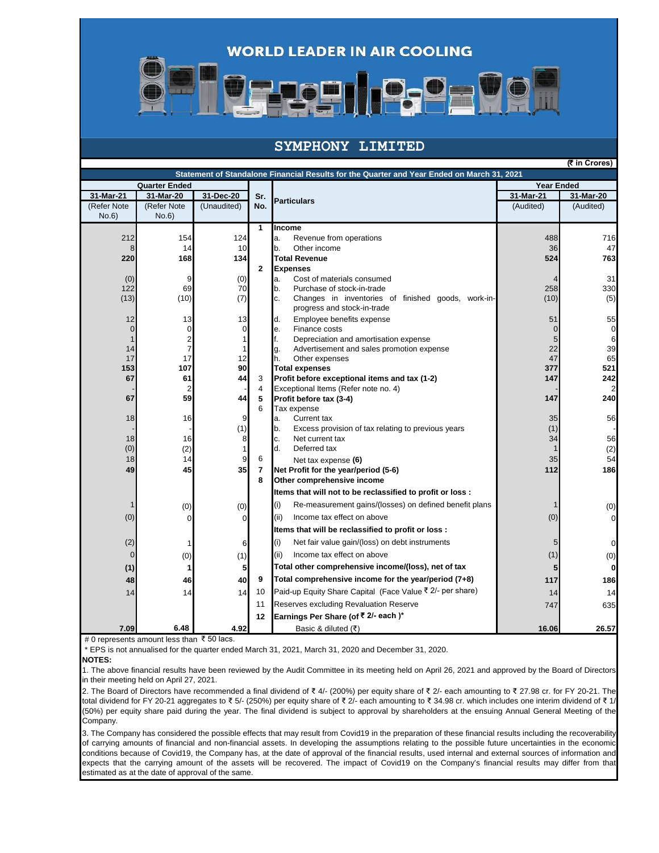



## **SYMPHONY LIMITED**

**(₹ in Crores)**

|              |                         |              |                | Statement of Standalone Financial Results for the Quarter and Year Ended on March 31, 2021 |                   |             |
|--------------|-------------------------|--------------|----------------|--------------------------------------------------------------------------------------------|-------------------|-------------|
|              | <b>Quarter Ended</b>    |              |                |                                                                                            | <b>Year Ended</b> |             |
| 31-Mar-21    | 31-Mar-20               | 31-Dec-20    | Sr.            | <b>Particulars</b>                                                                         | 31-Mar-21         | 31-Mar-20   |
| (Refer Note  | (Refer Note             | (Unaudited)  | No.            |                                                                                            | (Audited)         | (Audited)   |
| No.6)        | No.6                    |              |                |                                                                                            |                   |             |
|              |                         |              | $\mathbf{1}$   | Income                                                                                     |                   |             |
| 212          | 154                     | 124          |                | a.<br>Revenue from operations                                                              | 488               | 716         |
| 8            | 14                      | 10           |                | b.<br>Other income                                                                         | 36                | 47          |
| 220          | 168                     | 134          |                | <b>Total Revenue</b>                                                                       | 524               | 763         |
|              |                         |              | $\overline{2}$ | <b>Expenses</b>                                                                            |                   |             |
| (0)          | 9                       | (0)          |                | a.<br>Cost of materials consumed                                                           |                   | 31          |
| 122          | 69                      | 70           |                | b.<br>Purchase of stock-in-trade                                                           | 258               | 330         |
| (13)         | (10)                    | (7)          |                | c.<br>Changes in inventories of finished goods, work-in-<br>progress and stock-in-trade    | (10)              | (5)         |
| 12           | 13                      | 13           |                | d.<br>Employee benefits expense                                                            | 51                | 55          |
| $\mathbf 0$  | $\mathbf 0$             | $\mathbf 0$  |                | Finance costs<br>е.                                                                        | $\mathbf 0$       | $\mathbf 0$ |
| $\mathbf{1}$ | $\overline{\mathbf{c}}$ | 1            |                | f.<br>Depreciation and amortisation expense                                                | 5                 | 6           |
| 14           | $\overline{7}$          | $\mathbf{1}$ |                | Advertisement and sales promotion expense<br>g.                                            | 22                | 39          |
| 17           | 17                      | 12           |                | h.<br>Other expenses                                                                       | 47                | 65          |
| 153          | 107                     | 90           |                | <b>Total expenses</b>                                                                      | 377               | 521         |
| 67           | 61                      | 44           | 3              | Profit before exceptional items and tax (1-2)                                              | 147               | 242         |
|              |                         |              | 4              | Exceptional Items (Refer note no. 4)                                                       |                   |             |
| 67           | 59                      | 44           | 5              | Profit before tax (3-4)                                                                    | 147               | 240         |
|              |                         |              | 6              | Tax expense                                                                                |                   |             |
| 18           | 16                      | 9            |                | Current tax<br>a.                                                                          | 35                | 56          |
|              |                         | (1)          |                | b.<br>Excess provision of tax relating to previous years                                   | (1)               |             |
| 18           | 16                      | 8            |                | c.<br>Net current tax<br>d.                                                                | 34                | 56          |
| (0)          | (2)                     | $\mathbf{1}$ | 6              | Deferred tax                                                                               | 1                 | (2)<br>54   |
| 18           | 14<br>45                | 9<br>35      |                | Net tax expense (6)<br>Net Profit for the year/period (5-6)                                | 35<br>112         | 186         |
| 49           |                         |              | 7<br>8         | Other comprehensive income                                                                 |                   |             |
|              |                         |              |                |                                                                                            |                   |             |
|              |                         |              |                | Items that will not to be reclassified to profit or loss :                                 |                   |             |
|              | (0)                     | (0)          |                | (i)<br>Re-measurement gains/(losses) on defined benefit plans                              |                   | (0)         |
| (0)          | $\Omega$                | $\Omega$     |                | Income tax effect on above<br>(ii)                                                         | (0)               | $\Omega$    |
|              |                         |              |                | Items that will be reclassified to profit or loss :                                        |                   |             |
| (2)          |                         | 6            |                | (i)<br>Net fair value gain/(loss) on debt instruments                                      | 5                 | 0           |
| $\mathbf 0$  | (0)                     | (1)          |                | (ii)<br>Income tax effect on above                                                         | (1)               | (0)         |
|              |                         |              |                | Total other comprehensive income/(loss), net of tax                                        |                   |             |
| (1)          | 1                       | 5            | 9              | Total comprehensive income for the year/period (7+8)                                       | 5                 | 0           |
| 48           | 46                      | 40           |                |                                                                                            | 117               | 186         |
| 14           | 14                      | 14           | 10             | Paid-up Equity Share Capital (Face Value ₹ 2/- per share)                                  | 14                | 14          |
|              |                         |              | 11             | Reserves excluding Revaluation Reserve                                                     | 747               | 635         |
|              |                         |              | 12             | Earnings Per Share (of ₹ 2/- each)*                                                        |                   |             |
| 7.09         | 6.48                    | 4.92         |                | Basic & diluted $( ₹)$                                                                     | 16.06             | 26.57       |

# 0 represents amount less than ₹ 50 lacs.

\* EPS is not annualised for the quarter ended March 31, 2021, March 31, 2020 and December 31, 2020.

**NOTES:**

1. The above financial results have been reviewed by the Audit Committee in its meeting held on April 26, 2021 and approved by the Board of Directors in their meeting held on April 27, 2021.

2. The Board of Directors have recommended a final dividend of ₹ 4/- (200%) per equity share of ₹ 2/- each amounting to ₹ 27.98 cr. for FY 20-21. The total dividend for FY 20-21 aggregates to ₹ 5/- (250%) per equity share of ₹ 2/- each amounting to ₹ 34.98 cr. which includes one interim dividend of ₹ 1/- (50%) per equity share paid during the year. The final dividend is subject to approval by shareholders at the ensuing Annual General Meeting of the Company.

3. The Company has considered the possible effects that may result from Covid19 in the preparation of these financial results including the recoverability of carrying amounts of financial and non-financial assets. In developing the assumptions relating to the possible future uncertainties in the economic conditions because of Covid19, the Company has, at the date of approval of the financial results, used internal and external sources of information and expects that the carrying amount of the assets will be recovered. The impact of Covid19 on the Company's financial results may differ from that estimated as at the date of approval of the same.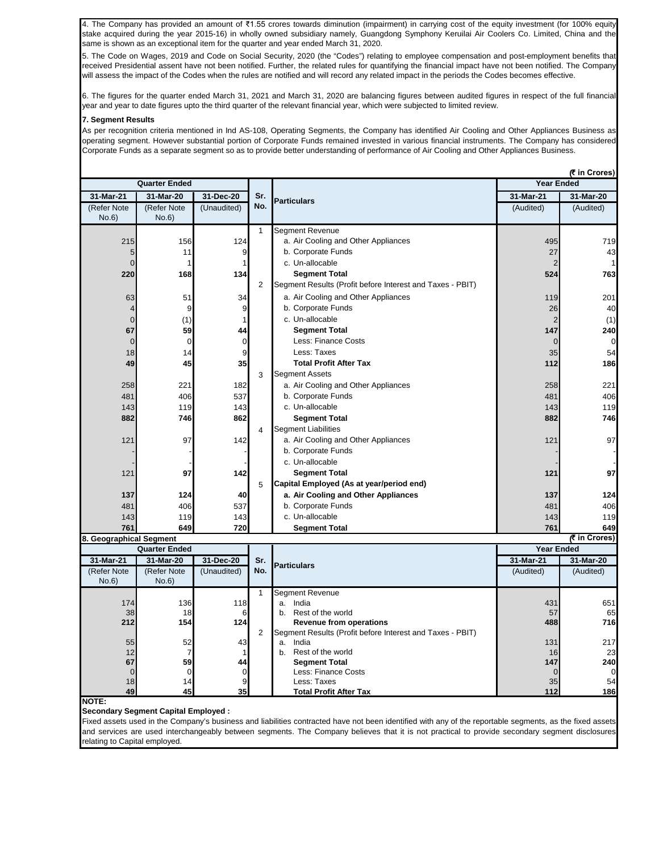4. The Company has provided an amount of ₹1.55 crores towards diminution (impairment) in carrying cost of the equity investment (for 100% equity stake acquired during the year 2015-16) in wholly owned subsidiary namely, Guangdong Symphony Keruilai Air Coolers Co. Limited, China and the same is shown as an exceptional item for the quarter and year ended March 31, 2020.

5. The Code on Wages, 2019 and Code on Social Security, 2020 (the "Codes") relating to employee compensation and post-employment benefits that received Presidential assent have not been notified. Further, the related rules for quantifying the financial impact have not been notified. The Company will assess the impact of the Codes when the rules are notified and will record any related impact in the periods the Codes becomes effective.

6. The figures for the quarter ended March 31, 2021 and March 31, 2020 are balancing figures between audited figures in respect of the full financial year and year to date figures upto the third quarter of the relevant financial year, which were subjected to limited review.

## **7. Segment Results**

As per recognition criteria mentioned in Ind AS-108, Operating Segments, the Company has identified Air Cooling and Other Appliances Business as operating segment. However substantial portion of Corporate Funds remained invested in various financial instruments. The Company has considered Corporate Funds as a separate segment so as to provide better understanding of performance of Air Cooling and Other Appliances Business.

|                         | <b>Quarter Ended</b> |              |              |                                                                                             | (₹ in Crores)<br><b>Year Ended</b> |              |  |
|-------------------------|----------------------|--------------|--------------|---------------------------------------------------------------------------------------------|------------------------------------|--------------|--|
| 31-Mar-21               | 31-Mar-20            | 31-Dec-20    | Sr.          |                                                                                             | 31-Mar-21                          | 31-Mar-20    |  |
| (Refer Note<br>No.6     | (Refer Note<br>No.6  | (Unaudited)  | No.          | <b>Particulars</b>                                                                          | (Audited)                          | (Audited)    |  |
|                         |                      |              | $\mathbf{1}$ | <b>Segment Revenue</b>                                                                      |                                    |              |  |
| 215                     | 156                  | 124          |              | a. Air Cooling and Other Appliances                                                         | 495                                | 719          |  |
| 5                       | 11                   | 9            |              | b. Corporate Funds                                                                          | 27                                 | 43           |  |
| $\Omega$                |                      | $\mathbf{1}$ |              | c. Un-allocable                                                                             | $\overline{2}$                     |              |  |
| 220                     | 168                  | 134          |              | <b>Segment Total</b>                                                                        | 524                                | 763          |  |
|                         |                      |              | 2            | Segment Results (Profit before Interest and Taxes - PBIT)                                   |                                    |              |  |
| 63                      | 51                   | 34           |              | a. Air Cooling and Other Appliances                                                         | 119                                | 201          |  |
| 4                       | 9                    | 9            |              | b. Corporate Funds                                                                          | 26                                 | 40           |  |
| $\overline{0}$          | (1)                  | $\mathbf{1}$ |              | c. Un-allocable                                                                             | $\overline{2}$                     | (1)          |  |
| 67                      | 59                   | 44           |              | <b>Segment Total</b>                                                                        | 147                                | 240          |  |
| $\mathbf 0$             | $\mathbf{0}$         | $\mathbf 0$  |              | Less: Finance Costs                                                                         | $\overline{0}$                     | $\mathbf 0$  |  |
| 18                      | 14                   | 9            |              | Less: Taxes                                                                                 | 35                                 | 54           |  |
| 49                      | 45                   | 35           |              | <b>Total Profit After Tax</b>                                                               | 112                                | 186          |  |
|                         |                      |              | 3            | <b>Segment Assets</b>                                                                       |                                    |              |  |
| 258                     | 221                  | 182          |              | a. Air Cooling and Other Appliances                                                         | 258                                | 221          |  |
| 481                     | 406                  | 537          |              | b. Corporate Funds                                                                          | 481                                | 406          |  |
| 143                     | 119                  | 143          |              | c. Un-allocable                                                                             | 143                                | 119          |  |
| 882                     | 746                  | 862          |              | <b>Segment Total</b>                                                                        | 882                                | 746          |  |
|                         |                      |              | 4            | <b>Segment Liabilities</b>                                                                  |                                    |              |  |
| 121                     | 97                   | 142          |              | a. Air Cooling and Other Appliances                                                         | 121                                | 97           |  |
|                         |                      |              |              | b. Corporate Funds                                                                          |                                    |              |  |
|                         |                      |              |              | c. Un-allocable                                                                             |                                    |              |  |
| 121                     | 97                   | 142          |              | <b>Segment Total</b>                                                                        | 121                                | 97           |  |
|                         |                      |              | 5            | Capital Employed (As at year/period end)                                                    |                                    |              |  |
| 137                     | 124                  | 40           |              | a. Air Cooling and Other Appliances                                                         | 137                                | 124          |  |
| 481                     | 406                  | 537          |              | b. Corporate Funds                                                                          | 481                                | 406          |  |
| 143                     | 119                  | 143          |              | c. Un-allocable                                                                             | 143                                | 119          |  |
| 761                     | 649                  | 720          |              | <b>Segment Total</b>                                                                        | 761                                | 649          |  |
| 8. Geographical Segment |                      |              |              |                                                                                             |                                    | ₹ in Crores) |  |
|                         | <b>Quarter Ended</b> |              |              |                                                                                             | <b>Year Ended</b>                  |              |  |
| 31-Mar-21               | 31-Mar-20            | 31-Dec-20    | Sr.          | <b>Particulars</b>                                                                          | 31-Mar-21                          | 31-Mar-20    |  |
| (Refer Note             | (Refer Note          | (Unaudited)  | No.          |                                                                                             | (Audited)                          | (Audited)    |  |
| No.6)                   | No.6)                |              |              |                                                                                             |                                    |              |  |
|                         |                      |              | $\mathbf{1}$ | Segment Revenue                                                                             |                                    |              |  |
| 174                     | 136                  | 118          |              | a. India<br>b. Rest of the world                                                            | 431                                | 651          |  |
| 38<br>212               | 18<br>154            | 6<br>124     |              |                                                                                             | 57<br>488                          | 65<br>716    |  |
|                         |                      |              | 2            | <b>Revenue from operations</b><br>Segment Results (Profit before Interest and Taxes - PBIT) |                                    |              |  |
| 55                      | 52                   | 43           |              | a. India                                                                                    | 131                                | 217          |  |
| 12                      | $\overline{7}$       | $\mathbf{1}$ |              | b. Rest of the world                                                                        | 16                                 | 23           |  |
| 67                      | 59                   | 44           |              | <b>Segment Total</b>                                                                        | 147                                | 240          |  |
| $\overline{0}$          | $\mathbf 0$          | $\mathbf 0$  |              | Less: Finance Costs                                                                         | $\mathbf 0$                        | $\mathbf 0$  |  |
| 18                      | 14                   | 9            |              | Less: Taxes                                                                                 | 35                                 | 54           |  |
| 49                      | 45                   | 35           |              | <b>Total Profit After Tax</b>                                                               | 112                                | 186          |  |

**NOTE:**

**Secondary Segment Capital Employed :**

Fixed assets used in the Company's business and liabilities contracted have not been identified with any of the reportable segments, as the fixed assets and services are used interchangeably between segments. The Company believes that it is not practical to provide secondary segment disclosures relating to Capital employed.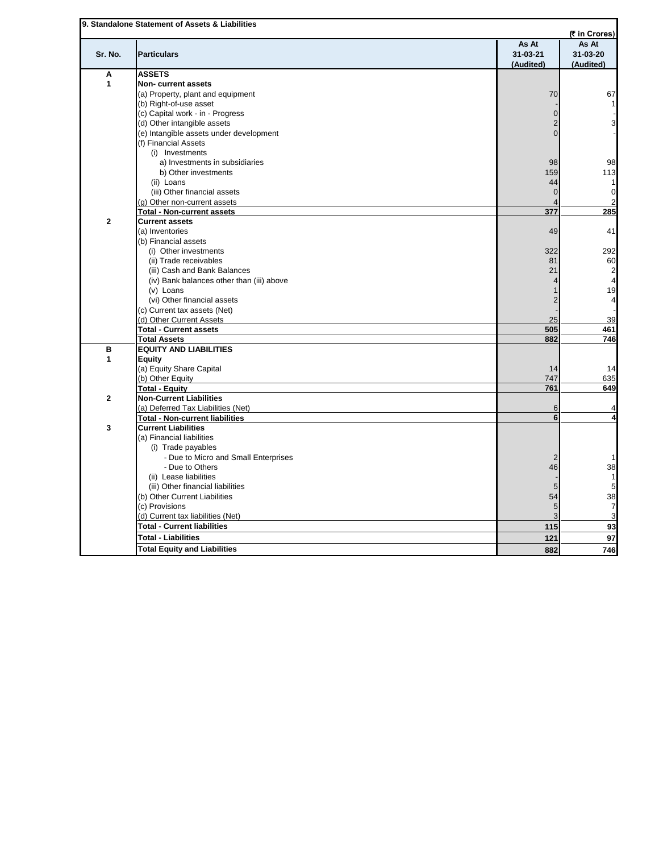|                      |                                           |                | (₹ in Crores)  |
|----------------------|-------------------------------------------|----------------|----------------|
|                      |                                           | As At          | As At          |
| Sr. No.              | <b>Particulars</b>                        | $31 - 03 - 21$ | 31-03-20       |
|                      |                                           | (Audited)      | (Audited)      |
| A                    | <b>ASSETS</b>                             |                |                |
| $\mathbf{1}$         | Non-current assets                        |                |                |
|                      | (a) Property, plant and equipment         | 70             | 67             |
|                      | (b) Right-of-use asset                    |                |                |
|                      | (c) Capital work - in - Progress          | $\mathbf 0$    |                |
|                      | (d) Other intangible assets               | $\overline{2}$ |                |
|                      | (e) Intangible assets under development   | $\Omega$       |                |
|                      | (f) Financial Assets                      |                |                |
|                      | (i) Investments                           |                |                |
|                      | a) Investments in subsidiaries            | 98             | 98             |
|                      | b) Other investments                      | 159            | 113            |
|                      | (ii) Loans                                | 44             | 1              |
|                      | (iii) Other financial assets              | $\overline{0}$ | $\Omega$       |
|                      | (g) Other non-current assets              |                | 2              |
|                      | <b>Total - Non-current assets</b>         | 377            | 285            |
| $\mathbf{2}$         | <b>Current assets</b>                     |                |                |
|                      | (a) Inventories                           | 49             | 41             |
|                      | (b) Financial assets                      |                |                |
|                      | (i) Other investments                     | 322            | 292            |
|                      | (ii) Trade receivables                    | 81             | 60             |
|                      | (iii) Cash and Bank Balances              | 21             | $\overline{2}$ |
|                      | (iv) Bank balances other than (iii) above |                | 4              |
|                      | $(v)$ Loans                               |                | 19             |
|                      | (vi) Other financial assets               | $\overline{2}$ | 4              |
|                      |                                           |                |                |
|                      | (c) Current tax assets (Net)              |                |                |
|                      | (d) Other Current Assets                  | 25             | 39             |
|                      | <b>Total - Current assets</b>             | 505            | 461            |
|                      | <b>Total Assets</b>                       | 882            | 746            |
| в                    | <b>EQUITY AND LIABILITIES</b>             |                |                |
| $\blacktriangleleft$ | <b>Equity</b>                             |                |                |
|                      | (a) Equity Share Capital                  | 14             | 14             |
|                      | (b) Other Equity                          | 747            | 635            |
|                      | <b>Total - Equity</b>                     | 761            | 649            |
| $\overline{2}$       | <b>Non-Current Liabilities</b>            |                |                |
|                      | (a) Deferred Tax Liabilities (Net)        | 6              | Δ              |
|                      | <b>Total - Non-current liabilities</b>    | 6              | 4              |
| 3                    | <b>Current Liabilities</b>                |                |                |
|                      | (a) Financial liabilities                 |                |                |
|                      | (i) Trade payables                        |                |                |
|                      | - Due to Micro and Small Enterprises      | $\overline{2}$ | 1              |
|                      | - Due to Others                           | 46             | 38             |
|                      | (ii) Lease liabilities                    |                | $\overline{1}$ |
|                      | (iii) Other financial liabilities         | 5              | 5              |
|                      | (b) Other Current Liabilities             | 54             | 38             |
|                      | (c) Provisions                            | 5              | $\overline{7}$ |
|                      | (d) Current tax liabilities (Net)         | 3              | 3              |
|                      | <b>Total - Current liabilities</b>        | 115            | 93             |
|                      |                                           |                |                |
|                      | <b>Total - Liabilities</b>                | 121            | 97             |
|                      | <b>Total Equity and Liabilities</b>       | 882            | 746            |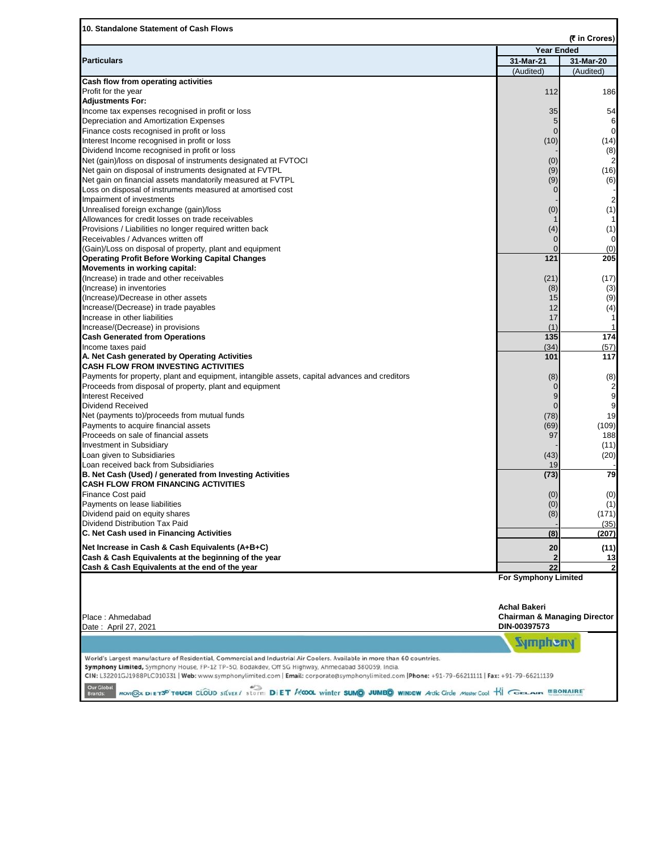|                                                                                                                          | <b>Year Ended</b>                                                                      |                         |
|--------------------------------------------------------------------------------------------------------------------------|----------------------------------------------------------------------------------------|-------------------------|
| <b>Particulars</b>                                                                                                       | 31-Mar-21                                                                              | 31-Mar-20               |
|                                                                                                                          | (Audited)                                                                              | (Audited)               |
| Cash flow from operating activities                                                                                      |                                                                                        |                         |
| Profit for the year                                                                                                      | 112                                                                                    | 186                     |
| <b>Adjustments For:</b>                                                                                                  |                                                                                        |                         |
| Income tax expenses recognised in profit or loss                                                                         | 35                                                                                     | 54                      |
| Depreciation and Amortization Expenses                                                                                   | 5                                                                                      | 6                       |
| Finance costs recognised in profit or loss                                                                               | $\mathbf{0}$                                                                           | $\mathbf 0$             |
| Interest Income recognised in profit or loss                                                                             | (10)                                                                                   | (14)                    |
| Dividend Income recognised in profit or loss                                                                             |                                                                                        | (8)                     |
| Net (gain)/loss on disposal of instruments designated at FVTOCI                                                          | (0)                                                                                    |                         |
| Net gain on disposal of instruments designated at FVTPL                                                                  | (9)                                                                                    | (16)                    |
| Net gain on financial assets mandatorily measured at FVTPL<br>Loss on disposal of instruments measured at amortised cost | (9)<br>$\mathbf 0$                                                                     | (6)                     |
| Impairment of investments                                                                                                |                                                                                        | $\overline{2}$          |
| Unrealised foreign exchange (gain)/loss                                                                                  | (0)                                                                                    | (1)                     |
| Allowances for credit losses on trade receivables                                                                        |                                                                                        |                         |
| Provisions / Liabilities no longer required written back                                                                 | (4)                                                                                    | (1)                     |
| Receivables / Advances written off                                                                                       | $\mathbf 0$                                                                            | 0                       |
| (Gain)/Loss on disposal of property, plant and equipment                                                                 | $\Omega$                                                                               | (0)                     |
| <b>Operating Profit Before Working Capital Changes</b>                                                                   | 121                                                                                    | 205                     |
| Movements in working capital:                                                                                            |                                                                                        |                         |
| (Increase) in trade and other receivables                                                                                | (21)                                                                                   | (17)                    |
| (Increase) in inventories                                                                                                | (8)                                                                                    | (3)                     |
| (Increase)/Decrease in other assets                                                                                      | 15                                                                                     | (9)                     |
| Increase/(Decrease) in trade payables                                                                                    | 12                                                                                     | (4)                     |
| Increase in other liabilities                                                                                            | 17                                                                                     | 1                       |
| Increase/(Decrease) in provisions                                                                                        | (1)                                                                                    |                         |
| <b>Cash Generated from Operations</b>                                                                                    | 135                                                                                    | 174                     |
| Income taxes paid                                                                                                        | (34)                                                                                   | (57)                    |
| A. Net Cash generated by Operating Activities                                                                            | 101                                                                                    | 117                     |
| <b>CASH FLOW FROM INVESTING ACTIVITIES</b>                                                                               |                                                                                        |                         |
| Payments for property, plant and equipment, intangible assets, capital advances and creditors                            | (8)                                                                                    | (8)                     |
| Proceeds from disposal of property, plant and equipment                                                                  | $\mathbf 0$                                                                            | $\overline{\mathbf{c}}$ |
| <b>Interest Received</b>                                                                                                 | 9                                                                                      | 9                       |
| <b>Dividend Received</b>                                                                                                 | $\mathbf{0}$                                                                           | 9                       |
| Net (payments to)/proceeds from mutual funds                                                                             | (78)                                                                                   | 19                      |
| Payments to acquire financial assets                                                                                     | (69)                                                                                   | (109)                   |
| Proceeds on sale of financial assets                                                                                     | 97                                                                                     | 188                     |
| <b>Investment in Subsidiary</b>                                                                                          |                                                                                        | (11)                    |
| Loan given to Subsidiaries                                                                                               | (43)                                                                                   | (20)                    |
| Loan received back from Subsidiaries                                                                                     | 19                                                                                     |                         |
| B. Net Cash (Used) / generated from Investing Activities                                                                 | (73)                                                                                   | 79                      |
| <b>CASH FLOW FROM FINANCING ACTIVITIES</b>                                                                               |                                                                                        |                         |
| Finance Cost paid                                                                                                        | (0)                                                                                    | (0)                     |
| Payments on lease liabilities                                                                                            | (0)                                                                                    | (1)                     |
| Dividend paid on equity shares                                                                                           | (8)                                                                                    | (171)                   |
| Dividend Distribution Tax Paid                                                                                           |                                                                                        | (35)                    |
| C. Net Cash used in Financing Activities                                                                                 | (8)                                                                                    | (207)                   |
| Net Increase in Cash & Cash Equivalents (A+B+C)                                                                          | 20                                                                                     | (11)                    |
| Cash & Cash Equivalents at the beginning of the year                                                                     | 2                                                                                      | 13                      |
| Cash & Cash Equivalents at the end of the year                                                                           | 22                                                                                     | $\overline{2}$          |
| Place: Ahmedabad                                                                                                         | For Symphony Limited<br><b>Achal Bakeri</b><br><b>Chairman &amp; Managing Director</b> |                         |
| Date: April 27, 2021                                                                                                     | DIN-00397573                                                                           |                         |
|                                                                                                                          | <b>Sympheny</b>                                                                        |                         |
|                                                                                                                          |                                                                                        |                         |
| World's Largest manufacture of Residential, Commercial and Industrial Air Coolers. Available in more than 60 countries.  |                                                                                        |                         |
|                                                                                                                          |                                                                                        |                         |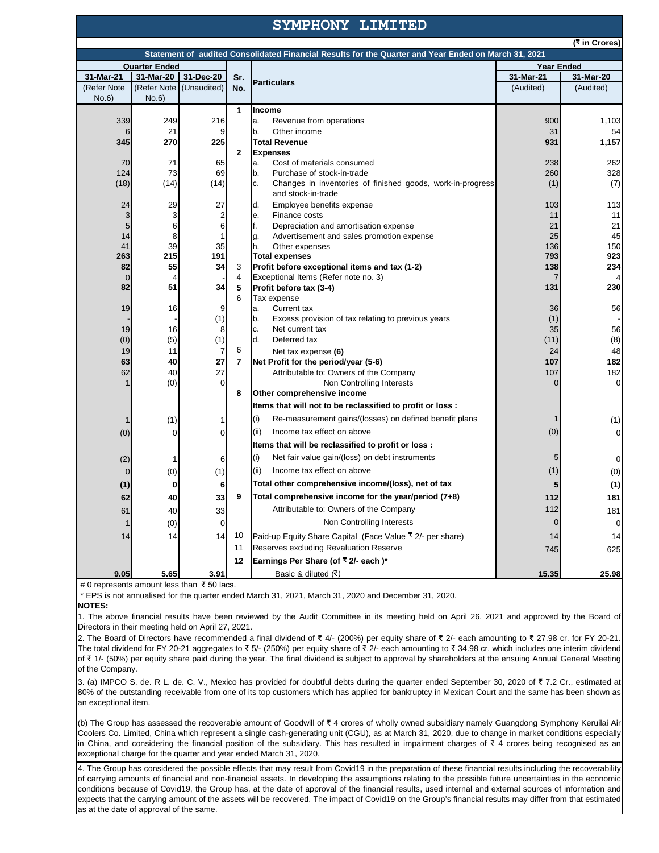## **SYMPHONY LIMITED**

| (₹ in Crores)<br>Statement of audited Consolidated Financial Results for the Quarter and Year Ended on March 31, 2021 |             |                         |                |                                                                                        |                 |                    |  |
|-----------------------------------------------------------------------------------------------------------------------|-------------|-------------------------|----------------|----------------------------------------------------------------------------------------|-----------------|--------------------|--|
| <b>Year Ended</b><br><b>Quarter Ended</b>                                                                             |             |                         |                |                                                                                        |                 |                    |  |
| 31-Mar-21                                                                                                             | 31-Mar-20   | 31-Dec-20               | Sr.            |                                                                                        | 31-Mar-21       | 31-Mar-20          |  |
| (Refer Note                                                                                                           | (Refer Note | (Unaudited)             | No.            | <b>Particulars</b>                                                                     | (Audited)       | (Audited)          |  |
| No.6                                                                                                                  | No.6        |                         |                |                                                                                        |                 |                    |  |
|                                                                                                                       |             |                         | $\mathbf{1}$   | Income                                                                                 |                 |                    |  |
| 339                                                                                                                   | 249         | 216                     |                | a.<br>Revenue from operations                                                          | 900             | 1,103              |  |
| 6                                                                                                                     | 21          | 9                       |                | b.<br>Other income                                                                     | 31              | 54                 |  |
| 345                                                                                                                   | 270         | 225                     |                | <b>Total Revenue</b>                                                                   | 931             | 1,157              |  |
|                                                                                                                       |             |                         | $\mathbf{2}$   | <b>Expenses</b>                                                                        |                 |                    |  |
| 70                                                                                                                    | 71          | 65                      |                | Cost of materials consumed<br>a.                                                       | 238             | 262                |  |
| 124                                                                                                                   | 73          | 69                      |                | b <sub>1</sub><br>Purchase of stock-in-trade                                           | 260             | 328                |  |
| (18)                                                                                                                  | (14)        | (14)                    |                | c.<br>Changes in inventories of finished goods, work-in-progress<br>and stock-in-trade | (1)             | (7)                |  |
| 24                                                                                                                    | 29          | 27                      |                | d.<br>Employee benefits expense                                                        | 103             | 113                |  |
| 3                                                                                                                     | 3           | $\overline{\mathbf{c}}$ |                | Finance costs<br>е.                                                                    | 11              | 11                 |  |
| 5                                                                                                                     | 6           | 6                       |                | f.<br>Depreciation and amortisation expense                                            | 21              | 21                 |  |
| 14<br>41                                                                                                              | 8<br>39     | 35                      |                | g.<br>Advertisement and sales promotion expense<br>h.<br>Other expenses                | 25<br>136       | 45<br>150          |  |
| 263                                                                                                                   | 215         | 191                     |                | <b>Total expenses</b>                                                                  | 793             | 923                |  |
| 82                                                                                                                    | 55          | 34                      | 3              | Profit before exceptional items and tax (1-2)                                          | 138             | 234                |  |
| 0                                                                                                                     | 4           |                         | 4              | Exceptional Items (Refer note no. 3)                                                   | 7               | 4                  |  |
| 82                                                                                                                    | 51          | 34                      | 5              | Profit before tax (3-4)                                                                | 131             | 230                |  |
|                                                                                                                       |             |                         | 6              | Tax expense                                                                            |                 |                    |  |
| 19                                                                                                                    | 16          | 9                       |                | a.<br>Current tax                                                                      | 36              | 56                 |  |
|                                                                                                                       |             | (1)                     |                | b.<br>Excess provision of tax relating to previous years                               | (1)             |                    |  |
| 19                                                                                                                    | 16          | 8                       |                | c.<br>Net current tax                                                                  | 35              | 56                 |  |
| (0)                                                                                                                   | (5)         | (1)                     |                | d.<br>Deferred tax                                                                     | (11)            | (8)                |  |
| 19                                                                                                                    | 11          | 7                       | 6              | Net tax expense (6)                                                                    | 24              | 48                 |  |
| 63                                                                                                                    | 40          | 27<br>27                | $\overline{7}$ | Net Profit for the period/year (5-6)                                                   | 107             | 182                |  |
| 62                                                                                                                    | 40<br>(0)   | $\Omega$                |                | Attributable to: Owners of the Company<br>Non Controlling Interests                    | 107<br>$\Omega$ | 182<br>$\mathbf 0$ |  |
|                                                                                                                       |             |                         | 8              | Other comprehensive income                                                             |                 |                    |  |
|                                                                                                                       |             |                         |                | Items that will not to be reclassified to profit or loss :                             |                 |                    |  |
|                                                                                                                       | (1)         |                         |                | Re-measurement gains/(losses) on defined benefit plans<br>(i)                          | 1               | (1)                |  |
|                                                                                                                       | $\Omega$    | $\Omega$                |                | (ii)<br>Income tax effect on above                                                     | (0)             | $\Omega$           |  |
| (0)                                                                                                                   |             |                         |                | Items that will be reclassified to profit or loss :                                    |                 |                    |  |
| (2)                                                                                                                   | 1           | 6                       |                | (i)<br>Net fair value gain/(loss) on debt instruments                                  | 5               | 0                  |  |
| $\Omega$                                                                                                              | (0)         | (1)                     |                | (ii)<br>Income tax effect on above                                                     | (1)             | (0)                |  |
|                                                                                                                       | $\bf{0}$    |                         |                | Total other comprehensive income/(loss), net of tax                                    | 5               |                    |  |
| (1)                                                                                                                   |             | 6                       | 9              |                                                                                        |                 | (1)                |  |
| 62                                                                                                                    | 40          | 33                      |                | Total comprehensive income for the year/period (7+8)                                   | 112             | 181                |  |
| 61                                                                                                                    | 40          | 33                      |                | Attributable to: Owners of the Company                                                 | 112             | 181                |  |
|                                                                                                                       | (0)         | $\Omega$                |                | Non Controlling Interests                                                              | $\overline{0}$  | $\mathbf 0$        |  |
| 14                                                                                                                    | 14          | 14                      | 10             | Paid-up Equity Share Capital (Face Value ₹ 2/- per share)                              | 14              | 14                 |  |
|                                                                                                                       |             |                         | 11             | Reserves excluding Revaluation Reserve                                                 | 745             | 625                |  |
|                                                                                                                       |             |                         | 12             | Earnings Per Share (of ₹ 2/- each)*                                                    |                 |                    |  |
| 9.05                                                                                                                  | 5.65        | 3.91                    |                | Basic & diluted (₹)                                                                    | 15.35           | 25.98              |  |

# 0 represents amount less than ₹ 50 lacs.

\* EPS is not annualised for the quarter ended March 31, 2021, March 31, 2020 and December 31, 2020.

**NOTES:**

1. The above financial results have been reviewed by the Audit Committee in its meeting held on April26, 2021 and approved by the Board of Directors in their meeting held on April 27, 2021.

2. The Board of Directors have recommended a final dividend of ₹ 4/- (200%) per equity share of ₹ 2/- each amounting to ₹ 27.98 cr. for FY 20-21. The total dividend for FY 20-21 aggregates to ₹ 5/- (250%) per equity share of ₹ 2/- each amounting to ₹ 34.98 cr. which includes one interim dividend of ₹ 1/- (50%) per equity share paid during the year. The final dividend is subject to approval by shareholders at the ensuing Annual General Meeting of the Company.

3. (a) IMPCO S. de. R L. de. C. V., Mexico has provided for doubtful debts during the quarter ended September 30, 2020 of ₹ 7.2 Cr.,estimated at 80% of the outstanding receivable from oneof its top customers which has applied for bankruptcy in Mexican Court and the same has been shown as an exceptional item.

(b) The Group has assessed the recoverable amount of Goodwill of ₹ 4 crores of wholly owned subsidiary namely Guangdong Symphony Keruilai Air Coolers Co. Limited, China which represent a single cash-generating unit (CGU), as at March 31, 2020, due to change in market conditions especially in China, and considering the financial position of the subsidiary. This has resulted in impairment charges of ₹ 4 crores being recognised as an exceptional charge for the quarter and year ended March 31, 2020.

4. The Group has considered the possible effects that may result from Covid19 in the preparation of these financial results including the recoverability of carrying amounts of financial and non-financial assets. In developing the assumptions relating to the possible future uncertainties in the economic conditions because of Covid19, the Group has, at the date of approval of the financial results, used internal and external sources of information and expects that the carrying amount of the assets will be recovered. The impact of Covid19 on the Group's financial results may differ from that estimated as at the date of approval of the same.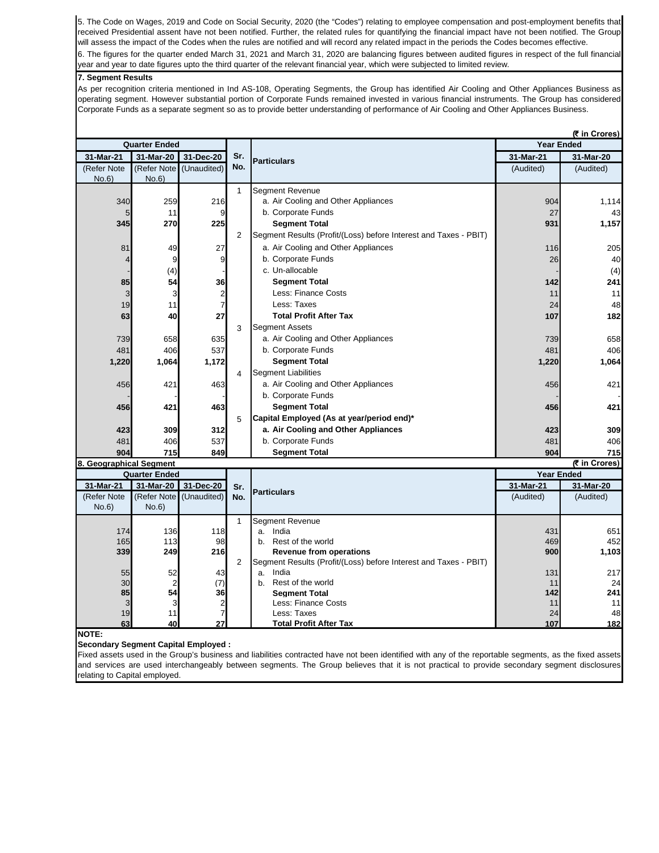5. The Code on Wages, 2019 and Code on Social Security, 2020 (the "Codes") relating to employee compensation and post-employment benefits that received Presidential assent have not been notified. Further, the related rules for quantifying the financial impact have not been notified. The Group will assess the impact of the Codes when the rules are notified and will record any related impact in the periods the Codes becomes effective. 6. The figures for the quarter ended March 31, 2021 and March 31, 2020 are balancing figures between audited figures in respect of the full financial year and year to date figures upto the third quarter of the relevant financial year, which were subjected to limited review.

## **7. Segment Results**

As per recognition criteria mentioned in Ind AS-108, Operating Segments, the Group has identified AirCooling and Other Appliances Business as operating segment. However substantial portion of Corporate Funds remained invested in various financial instruments. The Group has considered Corporate Funds as a separate segment so as to provide better understanding of performance of Air Cooling and Other Appliances Business.

|                         | <b>Quarter Ended</b> |                         |                |                                                                  | <i>(</i> ₹ in Crores)<br><b>Year Ended</b> |              |  |
|-------------------------|----------------------|-------------------------|----------------|------------------------------------------------------------------|--------------------------------------------|--------------|--|
| 31-Mar-21               | 31-Mar-20            | 31-Dec-20               | Sr.            |                                                                  | 31-Mar-21                                  | 31-Mar-20    |  |
| (Refer Note             | (Refer Note          | (Unaudited)             | No.            | <b>Particulars</b>                                               | (Audited)                                  | (Audited)    |  |
| No.6)                   | No.6)                |                         |                |                                                                  |                                            |              |  |
|                         |                      |                         | $\mathbf{1}$   | Segment Revenue                                                  |                                            |              |  |
| 340                     | 259                  | 216                     |                | a. Air Cooling and Other Appliances                              | 904                                        | 1,114        |  |
| 5                       | 11                   | 9                       |                | b. Corporate Funds                                               | 27                                         | 43           |  |
| 345                     | 270                  | 225                     |                | <b>Segment Total</b>                                             | 931                                        | 1,157        |  |
|                         |                      |                         | $\overline{2}$ | Segment Results (Profit/(Loss) before Interest and Taxes - PBIT) |                                            |              |  |
| 81                      | 49                   | 27                      |                | a. Air Cooling and Other Appliances                              | 116                                        | 205          |  |
| $\boldsymbol{4}$        | 9                    | 9                       |                | b. Corporate Funds                                               | 26                                         | 40           |  |
|                         | (4)                  |                         |                | c. Un-allocable                                                  |                                            | (4)          |  |
| 85                      | 54                   | 36                      |                | <b>Segment Total</b>                                             | 142                                        | 241          |  |
| 3                       | 3                    | $\overline{\mathbf{c}}$ |                | <b>Less: Finance Costs</b>                                       | 11                                         | 11           |  |
| 19                      | 11                   | $\overline{7}$          |                | Less: Taxes                                                      | 24                                         | 48           |  |
| 63                      | 40                   | 27                      |                | <b>Total Profit After Tax</b>                                    | 107                                        | 182          |  |
|                         |                      |                         | 3              | <b>Segment Assets</b>                                            |                                            |              |  |
| 739                     | 658                  | 635                     |                | a. Air Cooling and Other Appliances                              | 739                                        | 658          |  |
| 481                     | 406                  | 537                     |                | b. Corporate Funds                                               | 481                                        | 406          |  |
| 1,220                   | 1,064                | 1,172                   |                | <b>Segment Total</b>                                             | 1,220                                      | 1,064        |  |
|                         |                      |                         | 4              | <b>Segment Liabilities</b>                                       |                                            |              |  |
| 456                     | 421                  | 463                     |                | a. Air Cooling and Other Appliances                              | 456                                        | 421          |  |
|                         |                      |                         |                | b. Corporate Funds                                               |                                            |              |  |
| 456                     | 421                  | 463                     |                | <b>Segment Total</b>                                             | 456                                        | 421          |  |
|                         |                      |                         | 5              | Capital Employed (As at year/period end)*                        |                                            |              |  |
| 423                     | 309                  | 312                     |                | a. Air Cooling and Other Appliances                              | 423                                        | 309          |  |
| 481                     | 406                  | 537                     |                | b. Corporate Funds                                               | 481                                        | 406          |  |
| 904                     | 715                  | 849                     |                | <b>Segment Total</b>                                             | 904                                        | 715          |  |
| 8. Geographical Segment |                      |                         |                |                                                                  |                                            | ₹ in Crores) |  |
|                         | <b>Quarter Ended</b> |                         |                |                                                                  | <b>Year Ended</b>                          |              |  |
| 31-Mar-21               | 31-Mar-20            | 31-Dec-20               | Sr.            | <b>Particulars</b>                                               | 31-Mar-21                                  | 31-Mar-20    |  |
| (Refer Note             | (Refer Note          | (Unaudited)             | No.            |                                                                  | (Audited)                                  | (Audited)    |  |
| No.6                    | No.6                 |                         |                |                                                                  |                                            |              |  |
|                         |                      |                         | $\mathbf{1}$   | Segment Revenue                                                  |                                            |              |  |
| 174                     | 136                  | 118                     |                | India<br>а.                                                      | 431                                        | 651          |  |
| 165                     | 113                  | 98                      |                | Rest of the world<br>b.                                          | 469                                        | 452          |  |
| 339                     | 249                  | 216                     |                | <b>Revenue from operations</b>                                   | 900                                        | 1,103        |  |
|                         |                      |                         | $\overline{c}$ | Segment Results (Profit/(Loss) before Interest and Taxes - PBIT) |                                            |              |  |
| 55<br>30                | 52                   | 43<br>(7)               |                | India<br>a.<br>Rest of the world                                 | 131<br>11                                  | 217<br>24    |  |
| 85                      | 2<br>54              | 36                      |                | b.<br><b>Seament Total</b>                                       | 142                                        | 241          |  |
| 3                       | 3                    | $\overline{\mathbf{c}}$ |                | <b>Less: Finance Costs</b>                                       | 11                                         | 11           |  |
| 19                      | 11                   | $\overline{7}$          |                | Less: Taxes                                                      | 24                                         | 48           |  |
| 63                      | 40                   | 27                      |                | <b>Total Profit After Tax</b>                                    | 107                                        | 182          |  |
| <b>NOTE:</b>            |                      |                         |                |                                                                  |                                            |              |  |

**Secondary Segment Capital Employed :**

Fixed assets used in the Group's business and liabilities contracted have not been identified with any of the reportable segments, as the fixed assets and services are used interchangeably between segments. The Group believes that it is not practical to provide secondary segment disclosures relating to Capital employed.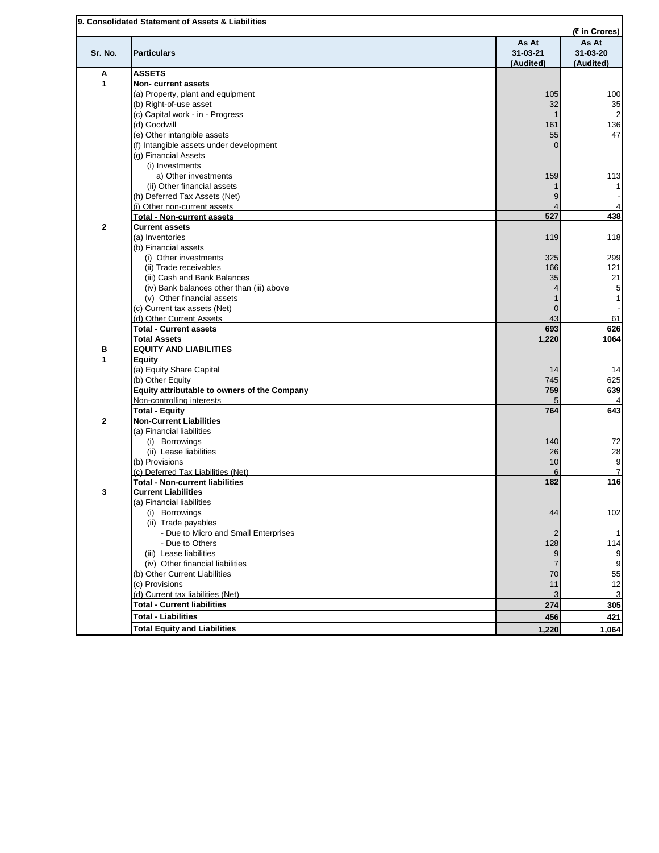|              |                                                                  |                | (₹ in Crores)  |
|--------------|------------------------------------------------------------------|----------------|----------------|
|              |                                                                  | As At          | As At          |
| Sr. No.      | <b>Particulars</b>                                               | $31 - 03 - 21$ | 31-03-20       |
|              |                                                                  | (Audited)      | (Audited)      |
| А            | <b>ASSETS</b>                                                    |                |                |
| 1            | Non-current assets                                               |                |                |
|              | (a) Property, plant and equipment                                | 105            | 100            |
|              | (b) Right-of-use asset                                           | 32             | 35             |
|              | (c) Capital work - in - Progress                                 |                | $\overline{c}$ |
|              | (d) Goodwill                                                     | 161            | 136            |
|              | (e) Other intangible assets                                      | 55             | 47             |
|              | (f) Intangible assets under development                          | $\Omega$       |                |
|              | (g) Financial Assets                                             |                |                |
|              | (i) Investments                                                  |                |                |
|              |                                                                  |                |                |
|              | a) Other investments                                             | 159            | 113            |
|              | (ii) Other financial assets                                      |                |                |
|              | (h) Deferred Tax Assets (Net)                                    | 9              |                |
|              | (i) Other non-current assets                                     |                |                |
|              | <b>Total - Non-current assets</b>                                | 527            | 438            |
| $\mathbf{2}$ | <b>Current assets</b>                                            |                |                |
|              | (a) Inventories                                                  | 119            | 118            |
|              | (b) Financial assets                                             |                |                |
|              | (i) Other investments                                            | 325            | 299            |
|              | (ii) Trade receivables                                           | 166            | 121            |
|              | (iii) Cash and Bank Balances                                     | 35             | 21             |
|              |                                                                  |                |                |
|              | (iv) Bank balances other than (iii) above                        |                | 5              |
|              | (v) Other financial assets                                       |                |                |
|              | (c) Current tax assets (Net)                                     | $\overline{0}$ |                |
|              | (d) Other Current Assets                                         | 43             | 61             |
|              | <b>Total - Current assets</b>                                    | 693            | 626            |
|              | <b>Total Assets</b>                                              | 1,220          | 1064           |
| B            | <b>EQUITY AND LIABILITIES</b>                                    |                |                |
| 1            | <b>Equity</b>                                                    |                |                |
|              | (a) Equity Share Capital                                         | 14             | 14             |
|              | (b) Other Equity                                                 | 745            | 625            |
|              | Equity attributable to owners of the Company                     | 759            | 639            |
|              | Non-controlling interests                                        | 5              |                |
|              | <b>Total - Equity</b>                                            | 764            | 643            |
|              |                                                                  |                |                |
| $\mathbf{2}$ | <b>Non-Current Liabilities</b>                                   |                |                |
|              | (a) Financial liabilities                                        |                |                |
|              | (i) Borrowings                                                   | 140            | 72             |
|              | (ii) Lease liabilities                                           | 26             | 28             |
|              | (b) Provisions                                                   | 10             | 9              |
|              | (c) Deferred Tax Liabilities (Net)                               | 6              |                |
|              |                                                                  |                |                |
|              | <b>Total - Non-current liabilities</b>                           | 182            | 116            |
| 3            | <b>Current Liabilities</b>                                       |                |                |
|              |                                                                  |                |                |
|              | (a) Financial liabilities                                        |                |                |
|              | (i) Borrowings                                                   | 44             | 102            |
|              | (ii) Trade payables                                              |                |                |
|              | - Due to Micro and Small Enterprises                             | 2              |                |
|              | - Due to Others                                                  | 128            | 114            |
|              | (iii) Lease liabilities                                          | 9              |                |
|              | (iv) Other financial liabilities                                 | $\overline{7}$ | 9<br>9         |
|              | (b) Other Current Liabilities                                    | 70             | 55             |
|              | (c) Provisions                                                   | 11             | 12             |
|              |                                                                  | 3              | 3              |
|              | (d) Current tax liabilities (Net)                                |                |                |
|              | <b>Total - Current liabilities</b><br><b>Total - Liabilities</b> | 274<br>456     | 305<br>421     |